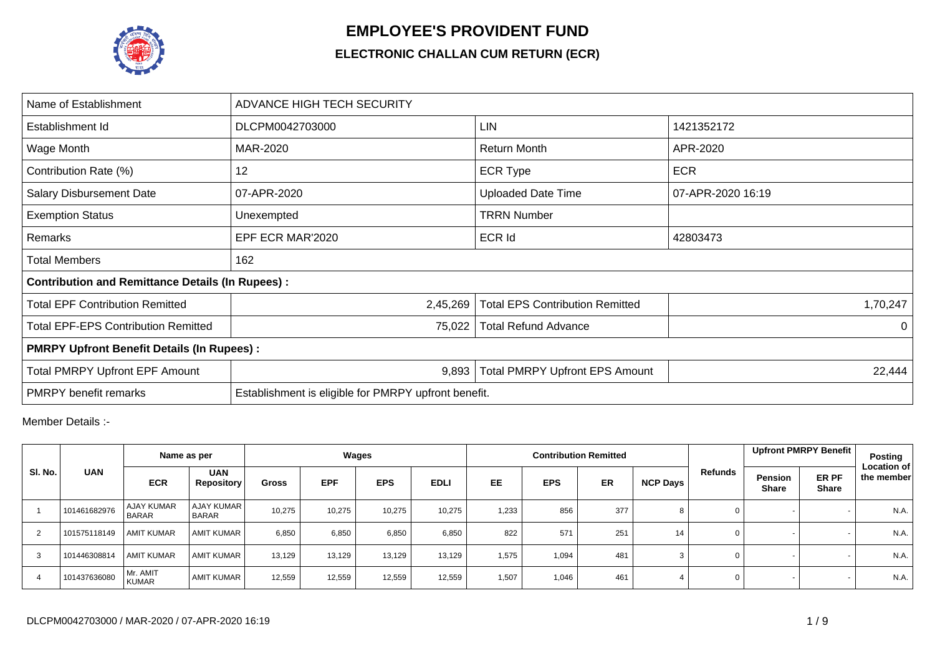

## **EMPLOYEE'S PROVIDENT FUND**

## **ELECTRONIC CHALLAN CUM RETURN (ECR)**

| Name of Establishment                                   | ADVANCE HIGH TECH SECURITY                           |                                        |                   |  |  |  |  |  |  |  |  |
|---------------------------------------------------------|------------------------------------------------------|----------------------------------------|-------------------|--|--|--|--|--|--|--|--|
| Establishment Id                                        | DLCPM0042703000                                      | <b>LIN</b>                             | 1421352172        |  |  |  |  |  |  |  |  |
| Wage Month                                              | MAR-2020                                             | Return Month                           | APR-2020          |  |  |  |  |  |  |  |  |
| Contribution Rate (%)                                   | 12                                                   | <b>ECR Type</b>                        | <b>ECR</b>        |  |  |  |  |  |  |  |  |
| <b>Salary Disbursement Date</b>                         | 07-APR-2020                                          | <b>Uploaded Date Time</b>              | 07-APR-2020 16:19 |  |  |  |  |  |  |  |  |
| <b>Exemption Status</b>                                 | Unexempted                                           | <b>TRRN Number</b>                     |                   |  |  |  |  |  |  |  |  |
| Remarks                                                 | EPF ECR MAR'2020                                     | <b>ECR Id</b>                          | 42803473          |  |  |  |  |  |  |  |  |
| <b>Total Members</b>                                    | 162                                                  |                                        |                   |  |  |  |  |  |  |  |  |
| <b>Contribution and Remittance Details (In Rupees):</b> |                                                      |                                        |                   |  |  |  |  |  |  |  |  |
| <b>Total EPF Contribution Remitted</b>                  | 2,45,269                                             | <b>Total EPS Contribution Remitted</b> | 1,70,247          |  |  |  |  |  |  |  |  |
| <b>Total EPF-EPS Contribution Remitted</b>              | 75,022                                               | <b>Total Refund Advance</b>            | $\Omega$          |  |  |  |  |  |  |  |  |
| <b>PMRPY Upfront Benefit Details (In Rupees):</b>       |                                                      |                                        |                   |  |  |  |  |  |  |  |  |
| <b>Total PMRPY Upfront EPF Amount</b>                   | 9,893                                                | <b>Total PMRPY Upfront EPS Amount</b>  | 22,444            |  |  |  |  |  |  |  |  |
| <b>PMRPY</b> benefit remarks                            | Establishment is eligible for PMRPY upfront benefit. |                                        |                   |  |  |  |  |  |  |  |  |

Member Details :-

|                |              | Name as per                       |                              |              |                                               | Wages      |           |                 |         | <b>Contribution Remitted</b> |                       |                                  |  | Upfront PMRPY Benefit | <b>Posting</b> |
|----------------|--------------|-----------------------------------|------------------------------|--------------|-----------------------------------------------|------------|-----------|-----------------|---------|------------------------------|-----------------------|----------------------------------|--|-----------------------|----------------|
| SI. No.        | <b>UAN</b>   | <b>ECR</b>                        | <b>UAN</b><br>Repository     | <b>Gross</b> | <b>EPF</b><br><b>EPS</b><br>EE<br><b>EDLI</b> | <b>EPS</b> | <b>ER</b> | <b>NCP Days</b> | Refunds | Pension<br><b>Share</b>      | ER PF<br><b>Share</b> | <b>Location of</b><br>the member |  |                       |                |
|                | 101461682976 | <b>AJAY KUMAR</b><br><b>BARAR</b> | AJAY KUMAR I<br><b>BARAR</b> | 10,275       | 10,275                                        | 10,275     | 10,275    | 1,233           | 856     | 377                          |                       | 0                                |  |                       | N.A.           |
| 2              | 101575118149 | <b>AMIT KUMAR</b>                 | <b>AMIT KUMAR</b>            | 6,850        | 6,850                                         | 6,850      | 6,850     | 822             | 571     | 251                          | 14.                   | 0                                |  |                       | N.A.           |
| 3              | 101446308814 | <b>AMIT KUMAR</b>                 | <b>AMIT KUMAR</b>            | 13,129       | 13,129                                        | 13,129     | 13,129    | 1,575           | 1,094   | 481                          |                       | 0                                |  |                       | N.A.           |
| $\overline{4}$ | 101437636080 | Mr. AMIT<br><b>KUMAR</b>          | <b>AMIT KUMAR</b>            | 12,559       | 12,559                                        | 12,559     | 12,559    | 1,507           | 1,046   | 461                          |                       | 0                                |  |                       | N.A.           |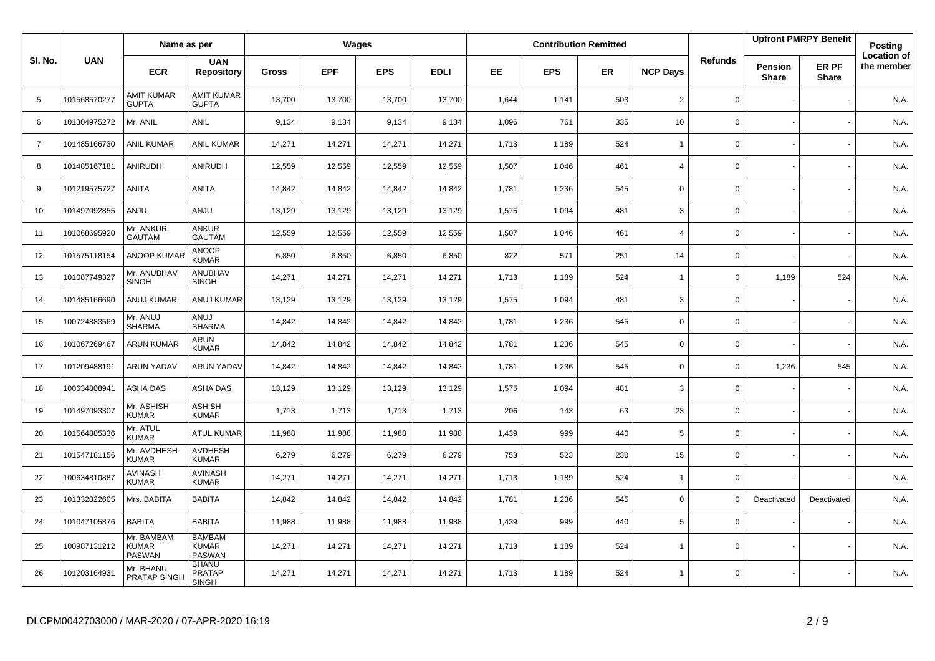|                |              | Name as per                                 |                                                |        |            | Wages      |             |       |            | <b>Contribution Remitted</b> |                         |                |                                | <b>Upfront PMRPY Benefit</b> | Posting                          |
|----------------|--------------|---------------------------------------------|------------------------------------------------|--------|------------|------------|-------------|-------|------------|------------------------------|-------------------------|----------------|--------------------------------|------------------------------|----------------------------------|
| SI. No.        | <b>UAN</b>   | <b>ECR</b>                                  | <b>UAN</b><br><b>Repository</b>                | Gross  | <b>EPF</b> | <b>EPS</b> | <b>EDLI</b> | EE    | <b>EPS</b> | <b>ER</b>                    | <b>NCP Days</b>         | <b>Refunds</b> | <b>Pension</b><br><b>Share</b> | ER PF<br><b>Share</b>        | <b>Location of</b><br>the member |
| 5              | 101568570277 | <b>AMIT KUMAR</b><br><b>GUPTA</b>           | <b>AMIT KUMAR</b><br><b>GUPTA</b>              | 13,700 | 13,700     | 13,700     | 13,700      | 1,644 | 1,141      | 503                          | $\overline{2}$          | 0              |                                |                              | N.A.                             |
| 6              | 101304975272 | Mr. ANIL                                    | <b>ANIL</b>                                    | 9,134  | 9,134      | 9.134      | 9,134       | 1,096 | 761        | 335                          | 10                      | $\mathbf 0$    |                                |                              | N.A.                             |
| $\overline{7}$ | 101485166730 | <b>ANIL KUMAR</b>                           | <b>ANIL KUMAR</b>                              | 14,271 | 14,271     | 14,271     | 14,271      | 1,713 | 1,189      | 524                          | $\overline{1}$          | 0              |                                |                              | N.A.                             |
| 8              | 101485167181 | ANIRUDH                                     | ANIRUDH                                        | 12,559 | 12,559     | 12,559     | 12,559      | 1,507 | 1,046      | 461                          | $\overline{\mathbf{A}}$ | $\mathbf 0$    |                                |                              | N.A.                             |
| 9              | 101219575727 | <b>ANITA</b>                                | ANITA                                          | 14,842 | 14,842     | 14,842     | 14,842      | 1,781 | 1,236      | 545                          | $\mathbf 0$             | 0              |                                |                              | N.A.                             |
| 10             | 101497092855 | <b>ANJU</b>                                 | <b>ULIA</b>                                    | 13,129 | 13,129     | 13,129     | 13,129      | 1,575 | 1,094      | 481                          | 3                       | 0              |                                |                              | N.A.                             |
| 11             | 101068695920 | Mr. ANKUR<br><b>GAUTAM</b>                  | ANKUR<br><b>GAUTAM</b>                         | 12,559 | 12,559     | 12,559     | 12,559      | 1,507 | 1,046      | 461                          | $\overline{4}$          | $\mathbf 0$    |                                |                              | N.A.                             |
| 12             | 101575118154 | <b>ANOOP KUMAF</b>                          | ANOOP<br><b>KUMAR</b>                          | 6,850  | 6,850      | 6,850      | 6,850       | 822   | 571        | 251                          | 14                      | 0              |                                |                              | N.A.                             |
| 13             | 101087749327 | Mr. ANUBHAV<br><b>SINGH</b>                 | ANUBHAV<br><b>SINGH</b>                        | 14,271 | 14,271     | 14,271     | 14,271      | 1,713 | 1,189      | 524                          | $\overline{1}$          | 0              | 1,189                          | 524                          | N.A.                             |
| 14             | 101485166690 | <b>ANUJ KUMAR</b>                           | ANUJ KUMAR                                     | 13,129 | 13,129     | 13,129     | 13,129      | 1,575 | 1,094      | 481                          | 3                       | $\Omega$       |                                |                              | N.A.                             |
| 15             | 100724883569 | Mr. ANUJ<br><b>SHARMA</b>                   | <b>ANUJ</b><br><b>SHARMA</b>                   | 14,842 | 14,842     | 14,842     | 14,842      | 1,781 | 1,236      | 545                          | $\mathbf 0$             | 0              |                                |                              | N.A.                             |
| 16             | 101067269467 | <b>ARUN KUMAR</b>                           | ARUN<br><b>KUMAR</b>                           | 14,842 | 14,842     | 14,842     | 14,842      | 1,781 | 1,236      | 545                          | $\mathbf 0$             | 0              |                                |                              | N.A.                             |
| 17             | 101209488191 | <b>ARUN YADAV</b>                           | <b>ARUN YADAV</b>                              | 14,842 | 14,842     | 14,842     | 14,842      | 1,781 | 1,236      | 545                          | $\mathbf 0$             | 0              | 1,236                          | 545                          | N.A.                             |
| 18             | 100634808941 | <b>ASHA DAS</b>                             | ASHA DAS                                       | 13,129 | 13,129     | 13,129     | 13,129      | 1,575 | 1,094      | 481                          | 3                       | $\mathbf 0$    |                                |                              | N.A.                             |
| 19             | 101497093307 | Mr. ASHISH<br><b>KUMAR</b>                  | ASHISH<br><b>KUMAR</b>                         | 1,713  | 1,713      | 1,713      | 1,713       | 206   | 143        | 63                           | 23                      | 0              |                                |                              | N.A.                             |
| 20             | 101564885336 | Mr. ATUL<br><b>KUMAR</b>                    | <b>ATUL KUMAR</b>                              | 11,988 | 11,988     | 11,988     | 11,988      | 1,439 | 999        | 440                          | 5                       | 0              |                                |                              | N.A.                             |
| 21             | 101547181156 | Mr. AVDHESH<br><b>KUMAR</b>                 | <b>AVDHESH</b><br><b>KUMAR</b>                 | 6,279  | 6,279      | 6,279      | 6,279       | 753   | 523        | 230                          | 15                      | 0              |                                |                              | N.A.                             |
| 22             | 100634810887 | <b>AVINASH</b><br><b>KUMAR</b>              | <b>AVINASH</b><br><b>KUMAR</b>                 | 14,271 | 14,271     | 14,271     | 14,271      | 1,713 | 1,189      | 524                          | $\overline{1}$          | 0              |                                |                              | N.A.                             |
| 23             | 101332022605 | Mrs. BABITA                                 | <b>BABITA</b>                                  | 14,842 | 14,842     | 14,842     | 14,842      | 1,781 | 1,236      | 545                          | $\mathbf 0$             | 0              | Deactivated                    | Deactivated                  | N.A.                             |
| 24             | 101047105876 | <b>BABITA</b>                               | <b>BABITA</b>                                  | 11,988 | 11,988     | 11,988     | 11,988      | 1,439 | 999        | 440                          | 5                       | 0              |                                |                              | N.A.                             |
| 25             | 100987131212 | Mr. BAMBAM<br><b>KUMAR</b><br><b>PASWAN</b> | <b>BAMBAM</b><br><b>KUMAR</b><br><b>PASWAN</b> | 14,271 | 14,271     | 14,271     | 14,271      | 1,713 | 1,189      | 524                          | $\overline{1}$          | $\mathbf 0$    |                                |                              | N.A.                             |
| 26             | 101203164931 | Mr. BHANU<br>PRATAP SINGH                   | <b>BHANU</b><br><b>PRATAP</b><br><b>SINGH</b>  | 14,271 | 14,271     | 14,271     | 14,271      | 1,713 | 1,189      | 524                          | $\overline{1}$          | 0              |                                |                              | N.A.                             |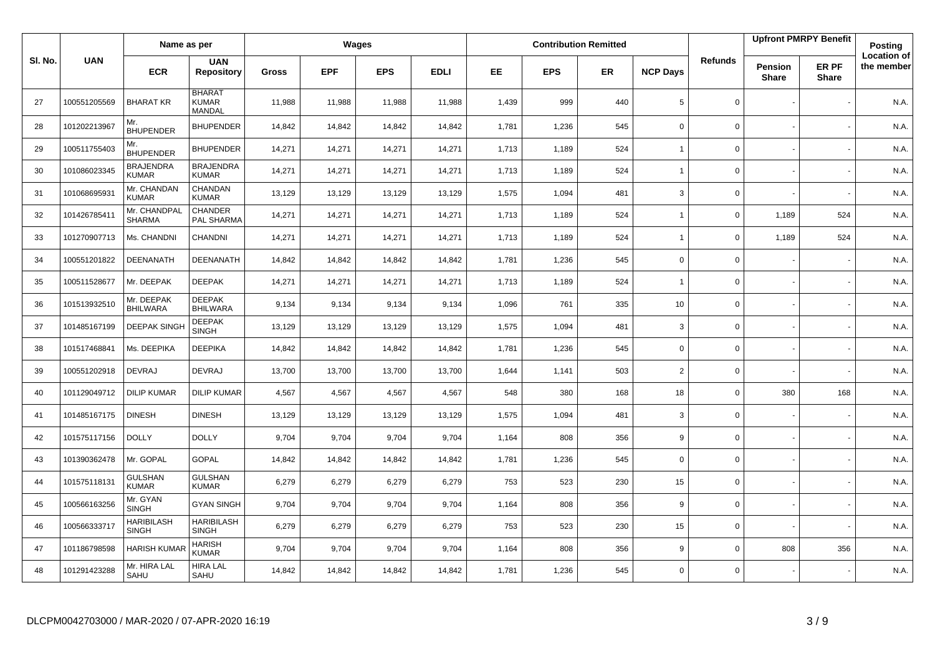|         |              | Name as per                       |                                         |              |            | Wages      |             |           |            | <b>Contribution Remitted</b> |                 |                |                                | <b>Upfront PMRPY Benefit</b> | Posting                          |
|---------|--------------|-----------------------------------|-----------------------------------------|--------------|------------|------------|-------------|-----------|------------|------------------------------|-----------------|----------------|--------------------------------|------------------------------|----------------------------------|
| SI. No. | <b>UAN</b>   | <b>ECR</b>                        | <b>UAN</b><br><b>Repository</b>         | <b>Gross</b> | <b>EPF</b> | <b>EPS</b> | <b>EDLI</b> | <b>EE</b> | <b>EPS</b> | <b>ER</b>                    | <b>NCP Days</b> | <b>Refunds</b> | <b>Pension</b><br><b>Share</b> | ER PF<br><b>Share</b>        | <b>Location of</b><br>the member |
| 27      | 100551205569 | <b>BHARAT KR</b>                  | <b>BHARAT</b><br><b>KUMAR</b><br>MANDAL | 11,988       | 11,988     | 11,988     | 11,988      | 1,439     | 999        | 440                          | 5               | 0              |                                |                              | N.A.                             |
| 28      | 101202213967 | Mr.<br><b>BHUPENDER</b>           | <b>BHUPENDER</b>                        | 14,842       | 14,842     | 14,842     | 14,842      | 1,781     | 1,236      | 545                          | $\mathbf 0$     | $\mathbf 0$    |                                |                              | N.A.                             |
| 29      | 100511755403 | Mr.<br><b>BHUPENDER</b>           | <b>BHUPENDER</b>                        | 14,271       | 14,271     | 14,271     | 14,271      | 1,713     | 1,189      | 524                          | $\overline{1}$  | 0              |                                |                              | N.A.                             |
| 30      | 101086023345 | <b>BRAJENDRA</b><br><b>KUMAR</b>  | <b>BRAJENDRA</b><br><b>KUMAR</b>        | 14,271       | 14,271     | 14,271     | 14,271      | 1,713     | 1,189      | 524                          | $\overline{1}$  | 0              |                                |                              | N.A.                             |
| 31      | 101068695931 | Mr. CHANDAN<br><b>KUMAR</b>       | CHANDAN<br><b>KUMAR</b>                 | 13,129       | 13,129     | 13,129     | 13,129      | 1,575     | 1,094      | 481                          | $\mathbf{3}$    | 0              |                                |                              | N.A.                             |
| 32      | 101426785411 | Mr. CHANDPAL<br><b>SHARMA</b>     | <b>CHANDER</b><br>PAL SHARMA            | 14,271       | 14,271     | 14,271     | 14,271      | 1,713     | 1,189      | 524                          | $\overline{1}$  | 0              | 1,189                          | 524                          | N.A.                             |
| 33      | 101270907713 | Ms. CHANDNI                       | <b>CHANDNI</b>                          | 14,271       | 14,271     | 14,271     | 14,271      | 1,713     | 1,189      | 524                          | $\mathbf{1}$    | $\mathbf 0$    | 1,189                          | 524                          | N.A.                             |
| 34      | 100551201822 | <b>DEENANATH</b>                  | DEENANATH                               | 14,842       | 14,842     | 14,842     | 14,842      | 1,781     | 1,236      | 545                          | $\mathbf 0$     | 0              |                                |                              | N.A.                             |
| 35      | 100511528677 | Mr. DEEPAK                        | <b>DEEPAK</b>                           | 14,271       | 14,271     | 14,271     | 14,271      | 1,713     | 1,189      | 524                          | $\overline{1}$  | 0              |                                |                              | N.A.                             |
| 36      | 101513932510 | Mr. DEEPAK<br><b>BHILWARA</b>     | <b>DEEPAK</b><br><b>BHILWARA</b>        | 9,134        | 9,134      | 9,134      | 9,134       | 1,096     | 761        | 335                          | 10              | 0              |                                |                              | N.A.                             |
| 37      | 101485167199 | <b>DEEPAK SINGH</b>               | <b>DEEPAK</b><br><b>SINGH</b>           | 13,129       | 13,129     | 13,129     | 13,129      | 1,575     | 1,094      | 481                          | 3               | 0              |                                |                              | N.A.                             |
| 38      | 101517468841 | Ms. DEEPIKA                       | <b>DEEPIKA</b>                          | 14,842       | 14,842     | 14,842     | 14,842      | 1,781     | 1,236      | 545                          | $\mathbf 0$     | 0              |                                |                              | N.A.                             |
| 39      | 100551202918 | <b>DEVRAJ</b>                     | <b>DEVRAJ</b>                           | 13,700       | 13,700     | 13,700     | 13,700      | 1,644     | 1,141      | 503                          | $\overline{2}$  | 0              |                                |                              | N.A.                             |
| 40      | 101129049712 | <b>DILIP KUMAR</b>                | <b>DILIP KUMAR</b>                      | 4,567        | 4,567      | 4,567      | 4,567       | 548       | 380        | 168                          | 18              | $\mathbf 0$    | 380                            | 168                          | N.A.                             |
| 41      | 101485167175 | <b>DINESH</b>                     | <b>DINESH</b>                           | 13,129       | 13,129     | 13,129     | 13,129      | 1,575     | 1,094      | 481                          | 3               | 0              |                                |                              | N.A.                             |
| 42      | 101575117156 | <b>DOLLY</b>                      | <b>DOLLY</b>                            | 9,704        | 9,704      | 9,704      | 9,704       | 1,164     | 808        | 356                          | 9               | 0              |                                |                              | N.A.                             |
| 43      | 101390362478 | Mr. GOPAL                         | <b>GOPAL</b>                            | 14,842       | 14,842     | 14,842     | 14,842      | 1,781     | 1,236      | 545                          | $\mathbf 0$     | 0              |                                |                              | N.A.                             |
| 44      | 101575118131 | <b>GULSHAN</b><br><b>KUMAR</b>    | <b>GULSHAN</b><br><b>KUMAR</b>          | 6,279        | 6,279      | 6,279      | 6,279       | 753       | 523        | 230                          | 15              | 0              |                                |                              | N.A.                             |
| 45      | 100566163256 | Mr. GYAN<br><b>SINGH</b>          | <b>GYAN SINGH</b>                       | 9,704        | 9,704      | 9,704      | 9,704       | 1,164     | 808        | 356                          | 9               | 0              |                                |                              | N.A.                             |
| 46      | 100566333717 | <b>HARIBILASH</b><br><b>SINGH</b> | <b>HARIBILASH</b><br><b>SINGH</b>       | 6,279        | 6,279      | 6,279      | 6,279       | 753       | 523        | 230                          | 15              | 0              |                                |                              | N.A.                             |
| 47      | 101186798598 | <b>HARISH KUMAR</b>               | <b>HARISH</b><br><b>KUMAR</b>           | 9,704        | 9,704      | 9,704      | 9,704       | 1,164     | 808        | 356                          | 9               | 0              | 808                            | 356                          | N.A.                             |
| 48      | 101291423288 | Mr. HIRA LAL<br>SAHU              | <b>HIRA LAL</b><br>SAHU                 | 14,842       | 14,842     | 14,842     | 14,842      | 1,781     | 1,236      | 545                          | $\Omega$        | 0              |                                |                              | N.A.                             |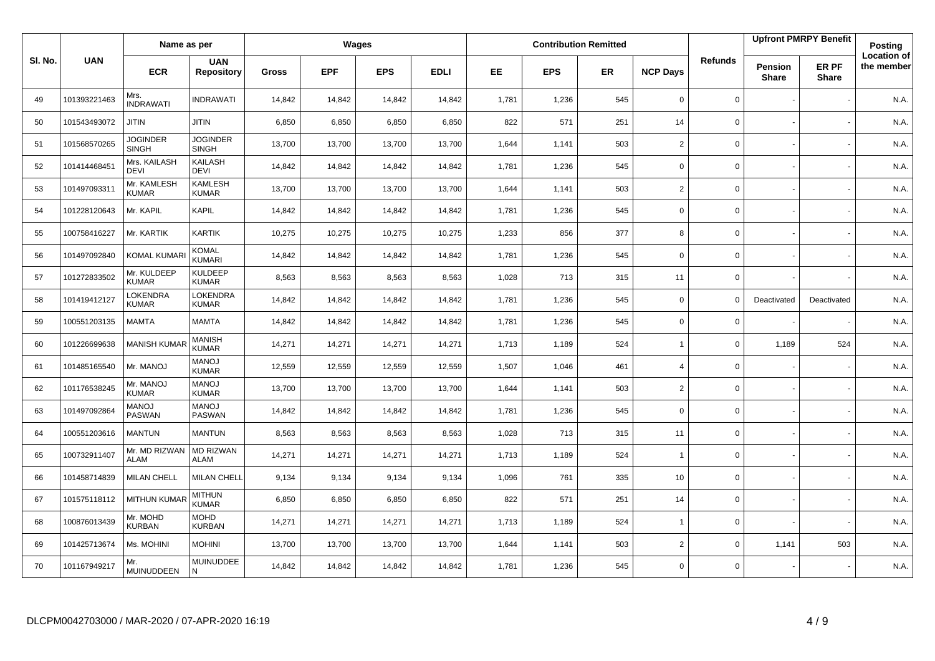|         |              | Name as per                     |                                 |              |            | Wages      |             |           |            | <b>Contribution Remitted</b> |                 |                |                         | <b>Upfront PMRPY Benefit</b> | Posting                          |
|---------|--------------|---------------------------------|---------------------------------|--------------|------------|------------|-------------|-----------|------------|------------------------------|-----------------|----------------|-------------------------|------------------------------|----------------------------------|
| SI. No. | <b>UAN</b>   | <b>ECR</b>                      | <b>UAN</b><br><b>Repository</b> | <b>Gross</b> | <b>EPF</b> | <b>EPS</b> | <b>EDLI</b> | <b>EE</b> | <b>EPS</b> | <b>ER</b>                    | <b>NCP Days</b> | <b>Refunds</b> | Pension<br><b>Share</b> | ER PF<br><b>Share</b>        | <b>Location of</b><br>the member |
| 49      | 101393221463 | Mrs.<br><b>INDRAWATI</b>        | <b>INDRAWATI</b>                | 14,842       | 14,842     | 14,842     | 14,842      | 1,781     | 1,236      | 545                          | $\mathsf 0$     | $\mathbf 0$    |                         |                              | N.A.                             |
| 50      | 101543493072 | <b>JITIN</b>                    | <b>JITIN</b>                    | 6,850        | 6,850      | 6,850      | 6,850       | 822       | 571        | 251                          | 14              | 0              |                         |                              | N.A.                             |
| 51      | 101568570265 | <b>JOGINDER</b><br><b>SINGH</b> | <b>JOGINDER</b><br><b>SINGH</b> | 13,700       | 13,700     | 13,700     | 13,700      | 1,644     | 1,141      | 503                          | $\overline{2}$  | 0              |                         |                              | N.A.                             |
| 52      | 101414468451 | Mrs. KAILASH<br><b>DEVI</b>     | <b>KAILASH</b><br><b>DEVI</b>   | 14,842       | 14,842     | 14,842     | 14,842      | 1,781     | 1,236      | 545                          | $\mathbf 0$     | $\mathbf 0$    |                         |                              | N.A.                             |
| 53      | 101497093311 | Mr. KAMLESH<br><b>KUMAR</b>     | <b>KAMLESH</b><br><b>KUMAR</b>  | 13,700       | 13,700     | 13,700     | 13,700      | 1,644     | 1,141      | 503                          | $\overline{2}$  | 0              |                         |                              | N.A.                             |
| 54      | 101228120643 | Mr. KAPIL                       | KAPIL                           | 14,842       | 14,842     | 14,842     | 14,842      | 1,781     | 1,236      | 545                          | 0               | 0              |                         |                              | N.A.                             |
| 55      | 100758416227 | Mr. KARTIK                      | <b>KARTIK</b>                   | 10,275       | 10,275     | 10,275     | 10,275      | 1,233     | 856        | 377                          | 8               | 0              |                         |                              | N.A.                             |
| 56      | 101497092840 | <b>KOMAL KUMAR</b>              | KOMAL<br><b>KUMARI</b>          | 14,842       | 14,842     | 14,842     | 14,842      | 1,781     | 1,236      | 545                          | $\mathbf 0$     | 0              |                         |                              | N.A.                             |
| 57      | 101272833502 | Mr. KULDEEP<br><b>KUMAR</b>     | <b>KULDEEP</b><br><b>KUMAR</b>  | 8,563        | 8,563      | 8,563      | 8,563       | 1,028     | 713        | 315                          | 11              | 0              |                         |                              | N.A.                             |
| 58      | 101419412127 | LOKENDRA<br><b>KUMAR</b>        | LOKENDRA<br><b>KUMAR</b>        | 14,842       | 14,842     | 14,842     | 14,842      | 1,781     | 1,236      | 545                          | $\mathbf 0$     | $\Omega$       | Deactivated             | Deactivated                  | N.A.                             |
| 59      | 100551203135 | <b>MAMTA</b>                    | <b>MAMTA</b>                    | 14,842       | 14,842     | 14,842     | 14,842      | 1,781     | 1,236      | 545                          | $\mathbf 0$     | $\Omega$       |                         |                              | N.A.                             |
| 60      | 101226699638 | <b>MANISH KUMAF</b>             | <b>MANISH</b><br><b>KUMAR</b>   | 14,271       | 14,271     | 14,271     | 14,271      | 1,713     | 1,189      | 524                          | $\overline{1}$  | 0              | 1,189                   | 524                          | N.A.                             |
| 61      | 101485165540 | Mr. MANOJ                       | <b>MANOJ</b><br><b>KUMAR</b>    | 12,559       | 12,559     | 12,559     | 12,559      | 1,507     | 1,046      | 461                          | $\overline{4}$  | 0              |                         |                              | N.A.                             |
| 62      | 101176538245 | Mr. MANOJ<br><b>KUMAR</b>       | <b>MANOJ</b><br><b>KUMAR</b>    | 13,700       | 13,700     | 13,700     | 13,700      | 1,644     | 1,141      | 503                          | 2               | 0              |                         |                              | N.A.                             |
| 63      | 101497092864 | <b>MANOJ</b><br><b>PASWAN</b>   | <b>LONAM</b><br><b>PASWAN</b>   | 14,842       | 14,842     | 14,842     | 14,842      | 1,781     | 1,236      | 545                          | $\mathbf 0$     | 0              |                         |                              | N.A.                             |
| 64      | 100551203616 | <b>MANTUN</b>                   | <b>MANTUN</b>                   | 8,563        | 8,563      | 8,563      | 8,563       | 1,028     | 713        | 315                          | 11              | $\mathbf 0$    |                         |                              | N.A.                             |
| 65      | 100732911407 | Mr. MD RIZWAN<br><b>ALAM</b>    | <b>MD RIZWAN</b><br><b>ALAM</b> | 14,271       | 14,271     | 14,271     | 14,271      | 1,713     | 1,189      | 524                          | $\overline{1}$  | 0              |                         |                              | N.A.                             |
| 66      | 101458714839 | <b>MILAN CHELL</b>              | <b>MILAN CHELL</b>              | 9,134        | 9,134      | 9,134      | 9,134       | 1,096     | 761        | 335                          | 10              | 0              |                         |                              | N.A.                             |
| 67      | 101575118112 | <b>MITHUN KUMAF</b>             | <b>MITHUN</b><br><b>KUMAR</b>   | 6,850        | 6,850      | 6,850      | 6,850       | 822       | 571        | 251                          | 14              | 0              |                         |                              | N.A.                             |
| 68      | 100876013439 | Mr. MOHD<br><b>KURBAN</b>       | <b>MOHD</b><br><b>KURBAN</b>    | 14,271       | 14,271     | 14,271     | 14,271      | 1,713     | 1,189      | 524                          | $\overline{1}$  | 0              |                         |                              | N.A.                             |
| 69      | 101425713674 | Ms. MOHINI                      | <b>MOHINI</b>                   | 13,700       | 13,700     | 13,700     | 13,700      | 1,644     | 1,141      | 503                          | $\overline{2}$  | 0              | 1,141                   | 503                          | N.A.                             |
| 70      | 101167949217 | Mr.<br>MUINUDDEEN               | <b>MUINUDDEE</b><br>N           | 14,842       | 14,842     | 14,842     | 14,842      | 1,781     | 1,236      | 545                          | $\Omega$        | 0              |                         |                              | N.A.                             |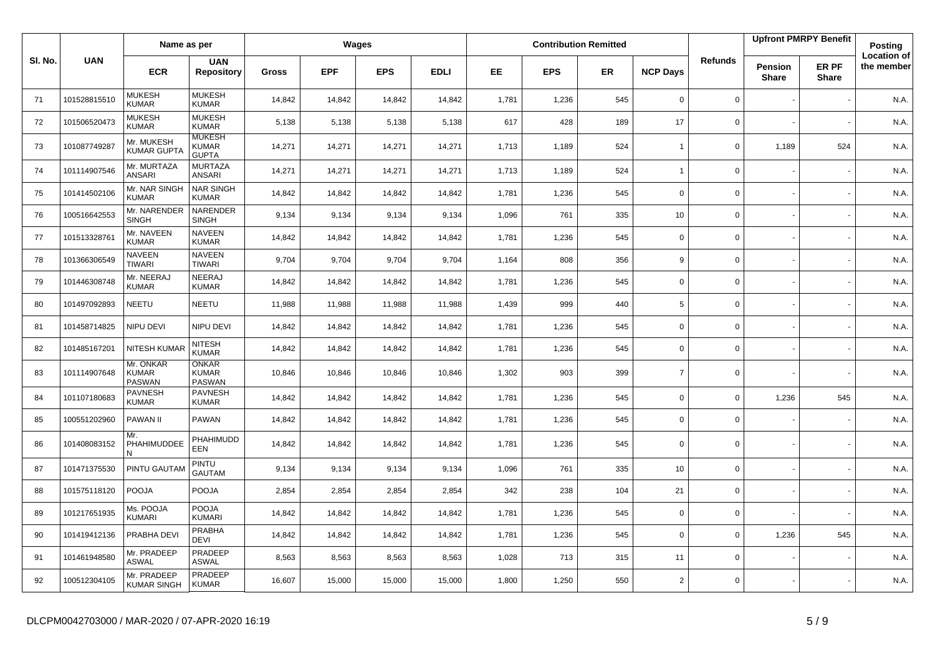|         |              | Name as per                                |                                               |              |            | Wages      |             |           |            | <b>Contribution Remitted</b> |                 |                |                                | <b>Upfront PMRPY Benefit</b> | Posting                          |
|---------|--------------|--------------------------------------------|-----------------------------------------------|--------------|------------|------------|-------------|-----------|------------|------------------------------|-----------------|----------------|--------------------------------|------------------------------|----------------------------------|
| SI. No. | <b>UAN</b>   | <b>ECR</b>                                 | <b>UAN</b><br><b>Repository</b>               | <b>Gross</b> | <b>EPF</b> | <b>EPS</b> | <b>EDLI</b> | <b>EE</b> | <b>EPS</b> | ER.                          | <b>NCP Days</b> | <b>Refunds</b> | <b>Pension</b><br><b>Share</b> | ER PF<br><b>Share</b>        | <b>Location of</b><br>the member |
| 71      | 101528815510 | <b>MUKESH</b><br><b>KUMAR</b>              | MUKESH<br><b>KUMAR</b>                        | 14,842       | 14,842     | 14,842     | 14,842      | 1,781     | 1,236      | 545                          | $\mathbf 0$     | $\mathbf 0$    |                                |                              | N.A.                             |
| 72      | 101506520473 | <b>MUKESH</b><br><b>KUMAR</b>              | <b>MUKESH</b><br><b>KUMAR</b>                 | 5,138        | 5,138      | 5,138      | 5,138       | 617       | 428        | 189                          | 17              | $\mathbf 0$    |                                |                              | N.A.                             |
| 73      | 101087749287 | Mr. MUKESH<br><b>KUMAR GUPTA</b>           | <b>MUKESH</b><br><b>KUMAR</b><br><b>GUPTA</b> | 14,271       | 14,271     | 14,271     | 14,271      | 1,713     | 1,189      | 524                          | $\overline{1}$  | $\mathbf 0$    | 1,189                          | 524                          | N.A.                             |
| 74      | 101114907546 | Mr. MURTAZA<br><b>ANSARI</b>               | <b>MURTAZA</b><br><b>ANSARI</b>               | 14,271       | 14,271     | 14,271     | 14,271      | 1,713     | 1,189      | 524                          | $\overline{1}$  | $\mathbf 0$    |                                |                              | N.A                              |
| 75      | 101414502106 | Mr. NAR SINGH<br><b>KUMAR</b>              | <b>NAR SINGH</b><br><b>KUMAR</b>              | 14,842       | 14,842     | 14,842     | 14,842      | 1,781     | 1,236      | 545                          | $\mathbf 0$     | $\mathbf 0$    |                                |                              | N.A.                             |
| 76      | 100516642553 | Mr. NARENDER<br><b>SINGH</b>               | <b>NARENDER</b><br><b>SINGH</b>               | 9,134        | 9,134      | 9,134      | 9,134       | 1,096     | 761        | 335                          | 10              | $\mathbf 0$    |                                |                              | N.A.                             |
| 77      | 101513328761 | Mr. NAVEEN<br><b>KUMAR</b>                 | <b>NAVEEN</b><br><b>KUMAR</b>                 | 14,842       | 14,842     | 14,842     | 14,842      | 1,781     | 1,236      | 545                          | $\mathbf 0$     | $\mathbf 0$    |                                |                              | N.A.                             |
| 78      | 101366306549 | <b>NAVEEN</b><br><b>TIWARI</b>             | <b>NAVEEN</b><br><b>TIWARI</b>                | 9,704        | 9,704      | 9,704      | 9,704       | 1,164     | 808        | 356                          | 9               | $\Omega$       |                                |                              | N.A.                             |
| 79      | 101446308748 | Mr. NEERAJ<br><b>KUMAR</b>                 | NEERAJ<br><b>KUMAR</b>                        | 14,842       | 14,842     | 14,842     | 14,842      | 1,781     | 1,236      | 545                          | $\mathbf 0$     | $\mathbf 0$    |                                |                              | N.A.                             |
| 80      | 101497092893 | NEETU                                      | <b>NEETU</b>                                  | 11,988       | 11,988     | 11,988     | 11,988      | 1,439     | 999        | 440                          | 5               | $\mathbf 0$    |                                |                              | N.A.                             |
| 81      | 101458714825 | NIPU DEVI                                  | NIPU DEVI                                     | 14,842       | 14,842     | 14,842     | 14,842      | 1,781     | 1,236      | 545                          | $\mathbf 0$     | $\mathbf 0$    |                                |                              | N.A.                             |
| 82      | 101485167201 | <b>NITESH KUMAR</b>                        | <b>NITESH</b><br><b>KUMAR</b>                 | 14,842       | 14,842     | 14,842     | 14,842      | 1,781     | 1,236      | 545                          | $\mathbf 0$     | $\Omega$       |                                |                              | N.A.                             |
| 83      | 101114907648 | Mr. ONKAR<br><b>KUMAR</b><br><b>PASWAN</b> | <b>ONKAR</b><br><b>KUMAR</b><br><b>PASWAN</b> | 10,846       | 10,846     | 10,846     | 10,846      | 1,302     | 903        | 399                          | $\overline{7}$  | $\mathbf 0$    |                                |                              | N.A.                             |
| 84      | 101107180683 | PAVNESH<br><b>KUMAR</b>                    | <b>PAVNESH</b><br><b>KUMAR</b>                | 14,842       | 14,842     | 14,842     | 14,842      | 1,781     | 1,236      | 545                          | $\mathbf 0$     | $\mathbf 0$    | 1,236                          | 545                          | N.A.                             |
| 85      | 100551202960 | PAWAN II                                   | <b>PAWAN</b>                                  | 14,842       | 14,842     | 14,842     | 14,842      | 1,781     | 1,236      | 545                          | $\mathbf 0$     | $\mathbf 0$    |                                |                              | N.A.                             |
| 86      | 101408083152 | Mr.<br>PHAHIMUDDEE<br>N                    | PHAHIMUDD<br>EEN                              | 14,842       | 14,842     | 14,842     | 14,842      | 1,781     | 1,236      | 545                          | $\mathbf 0$     | $\mathbf 0$    |                                |                              | N.A.                             |
| 87      | 101471375530 | PINTU GAUTAM                               | PINTU<br><b>GAUTAM</b>                        | 9,134        | 9,134      | 9,134      | 9,134       | 1,096     | 761        | 335                          | 10              | $\Omega$       |                                |                              | N.A                              |
| 88      | 101575118120 | <b>POOJA</b>                               | <b>POOJA</b>                                  | 2,854        | 2,854      | 2,854      | 2,854       | 342       | 238        | 104                          | 21              | $\mathbf 0$    |                                |                              | N.A.                             |
| 89      | 101217651935 | Ms. POOJA<br><b>KUMARI</b>                 | <b>POOJA</b><br><b>KUMARI</b>                 | 14,842       | 14,842     | 14,842     | 14,842      | 1,781     | 1,236      | 545                          | $\mathbf 0$     | $\mathbf 0$    |                                |                              | N.A.                             |
| 90      | 101419412136 | PRABHA DEVI                                | <b>PRABHA</b><br><b>DEVI</b>                  | 14,842       | 14,842     | 14,842     | 14,842      | 1,781     | 1,236      | 545                          | $\Omega$        | $\mathbf 0$    | 1,236                          | 545                          | N.A.                             |
| 91      | 101461948580 | Mr. PRADEEP<br><b>ASWAL</b>                | PRADEEP<br><b>ASWAL</b>                       | 8,563        | 8,563      | 8,563      | 8,563       | 1,028     | 713        | 315                          | 11              | $\mathbf 0$    |                                |                              | N.A.                             |
| 92      | 100512304105 | Mr. PRADEEP<br><b>KUMAR SINGH</b>          | PRADEEP<br><b>KUMAR</b>                       | 16,607       | 15,000     | 15,000     | 15,000      | 1,800     | 1,250      | 550                          | $\overline{2}$  | $\mathbf 0$    |                                |                              | N.A.                             |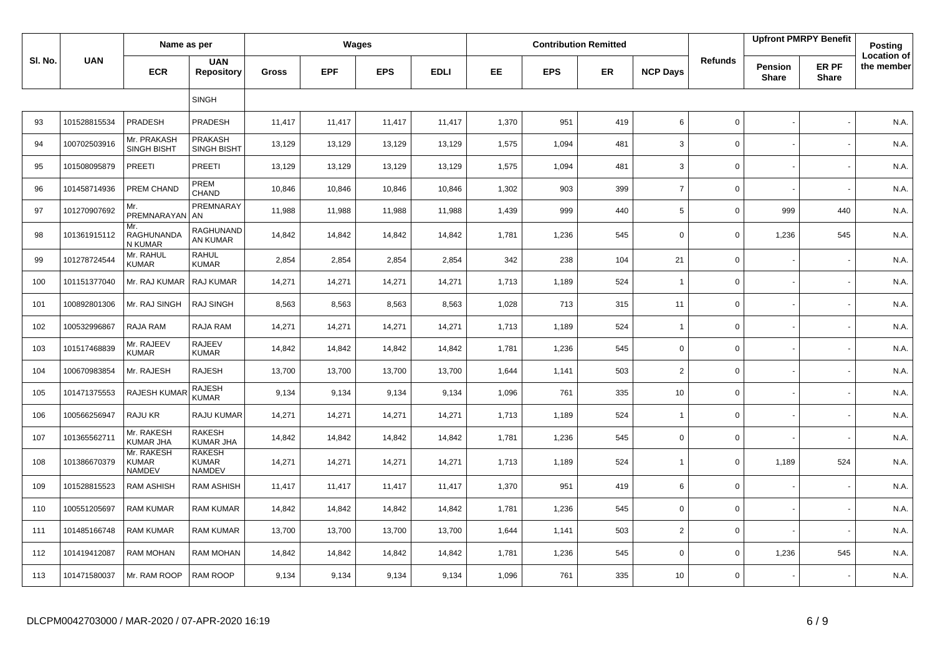|         |              | Name as per                                 |                                                |        | Wages      |            |             |       |            | <b>Contribution Remitted</b> |                 |                |                         | <b>Upfront PMRPY Benefit</b> | Posting                          |
|---------|--------------|---------------------------------------------|------------------------------------------------|--------|------------|------------|-------------|-------|------------|------------------------------|-----------------|----------------|-------------------------|------------------------------|----------------------------------|
| SI. No. | <b>UAN</b>   | <b>ECR</b>                                  | <b>UAN</b><br><b>Repository</b>                | Gross  | <b>EPF</b> | <b>EPS</b> | <b>EDLI</b> | EE    | <b>EPS</b> | ER                           | <b>NCP Days</b> | <b>Refunds</b> | Pension<br><b>Share</b> | ER PF<br><b>Share</b>        | <b>Location of</b><br>the member |
|         |              |                                             | <b>SINGH</b>                                   |        |            |            |             |       |            |                              |                 |                |                         |                              |                                  |
| 93      | 101528815534 | PRADESH                                     | PRADESH                                        | 11,417 | 11,417     | 11,417     | 11,417      | 1,370 | 951        | 419                          | 6               | $\mathbf 0$    |                         |                              | N.A.                             |
| 94      | 100702503916 | Mr. PRAKASH<br>SINGH BISHT                  | PRAKASH<br><b>SINGH BISHT</b>                  | 13,129 | 13,129     | 13,129     | 13,129      | 1,575 | 1,094      | 481                          | 3               | $\mathbf 0$    |                         |                              | N.A.                             |
| 95      | 101508095879 | PREETI                                      | PREETI                                         | 13,129 | 13,129     | 13,129     | 13,129      | 1,575 | 1,094      | 481                          | 3               | $\Omega$       |                         |                              | N.A.                             |
| 96      | 101458714936 | PREM CHAND                                  | PREM<br><b>CHAND</b>                           | 10,846 | 10,846     | 10,846     | 10,846      | 1,302 | 903        | 399                          | $\overline{7}$  | $\mathbf 0$    |                         |                              | N.A.                             |
| 97      | 101270907692 | Mr.<br>PREMNARAYAN AN                       | PREMNARAY                                      | 11,988 | 11,988     | 11,988     | 11,988      | 1,439 | 999        | 440                          | 5               | $\mathbf 0$    | 999                     | 440                          | N.A.                             |
| 98      | 101361915112 | Mr.<br>RAGHUNANDA<br>N KUMAR                | RAGHUNAND<br>AN KUMAR                          | 14,842 | 14,842     | 14,842     | 14,842      | 1,781 | 1,236      | 545                          | $\mathbf 0$     | $\mathsf 0$    | 1,236                   | 545                          | N.A.                             |
| 99      | 101278724544 | Mr. RAHUL<br><b>KUMAR</b>                   | <b>RAHUL</b><br><b>KUMAR</b>                   | 2,854  | 2,854      | 2,854      | 2,854       | 342   | 238        | 104                          | 21              | $\mathbf 0$    |                         |                              | N.A.                             |
| 100     | 101151377040 | Mr. RAJ KUMAR   RAJ KUMAR                   |                                                | 14,271 | 14,271     | 14,271     | 14,271      | 1,713 | 1,189      | 524                          | $\mathbf{1}$    | $\mathbf 0$    |                         |                              | N.A.                             |
| 101     | 100892801306 | Mr. RAJ SINGH                               | <b>RAJ SINGH</b>                               | 8,563  | 8,563      | 8,563      | 8,563       | 1,028 | 713        | 315                          | 11              | $\mathbf 0$    |                         |                              | N.A.                             |
| 102     | 100532996867 | RAJA RAM                                    | RAJA RAM                                       | 14,271 | 14,271     | 14,271     | 14,271      | 1,713 | 1,189      | 524                          | $\mathbf{1}$    | 0              |                         |                              | N.A.                             |
| 103     | 101517468839 | Mr. RAJEEV<br><b>KUMAR</b>                  | <b>RAJEEV</b><br><b>KUMAR</b>                  | 14,842 | 14,842     | 14,842     | 14,842      | 1,781 | 1,236      | 545                          | $\mathbf 0$     | $\mathbf 0$    |                         |                              | N.A.                             |
| 104     | 100670983854 | Mr. RAJESH                                  | <b>RAJESH</b>                                  | 13,700 | 13,700     | 13,700     | 13,700      | 1,644 | 1,141      | 503                          | $\overline{2}$  | $\mathbf 0$    |                         |                              | N.A.                             |
| 105     | 101471375553 | <b>RAJESH KUMAI</b>                         | RAJESH<br><b>KUMAR</b>                         | 9,134  | 9,134      | 9,134      | 9,134       | 1,096 | 761        | 335                          | 10              | $\mathbf 0$    |                         |                              | N.A.                             |
| 106     | 100566256947 | RAJU KR                                     | RAJU KUMAR                                     | 14,271 | 14,271     | 14,271     | 14,271      | 1,713 | 1,189      | 524                          | $\mathbf{1}$    | $\mathbf 0$    |                         |                              | N.A.                             |
| 107     | 101365562711 | Mr. RAKESH<br><b>KUMAR JHA</b>              | <b>RAKESH</b><br><b>KUMAR JHA</b>              | 14,842 | 14,842     | 14,842     | 14,842      | 1,781 | 1,236      | 545                          | $\mathbf 0$     | $\mathbf 0$    |                         |                              | N.A.                             |
| 108     | 101386670379 | Mr. RAKESH<br><b>KUMAR</b><br><b>NAMDEV</b> | <b>RAKESH</b><br><b>KUMAR</b><br><b>NAMDEV</b> | 14,271 | 14,271     | 14,271     | 14,271      | 1,713 | 1,189      | 524                          | $\mathbf{1}$    | $\mathbf 0$    | 1,189                   | 524                          | N.A.                             |
| 109     | 101528815523 | <b>RAM ASHISH</b>                           | <b>RAM ASHISH</b>                              | 11,417 | 11,417     | 11,417     | 11,417      | 1,370 | 951        | 419                          | 6               | $\mathbf 0$    |                         |                              | N.A.                             |
| 110     | 100551205697 | <b>RAM KUMAR</b>                            | <b>RAM KUMAR</b>                               | 14,842 | 14,842     | 14,842     | 14,842      | 1,781 | 1,236      | 545                          | $\mathbf 0$     | 0              |                         |                              | N.A.                             |
| 111     | 101485166748 | <b>RAM KUMAR</b>                            | <b>RAM KUMAR</b>                               | 13,700 | 13,700     | 13,700     | 13,700      | 1,644 | 1,141      | 503                          | $\overline{c}$  | $\mathbf 0$    |                         |                              | N.A.                             |
| 112     | 101419412087 | <b>RAM MOHAN</b>                            | <b>RAM MOHAN</b>                               | 14,842 | 14,842     | 14,842     | 14,842      | 1,781 | 1,236      | 545                          | $\mathbf 0$     | $\mathbf 0$    | 1,236                   | 545                          | N.A.                             |
| 113     | 101471580037 | Mr. RAM ROOP                                | RAM ROOP                                       | 9,134  | 9,134      | 9,134      | 9,134       | 1,096 | 761        | 335                          | 10              | $\mathbf 0$    |                         |                              | N.A.                             |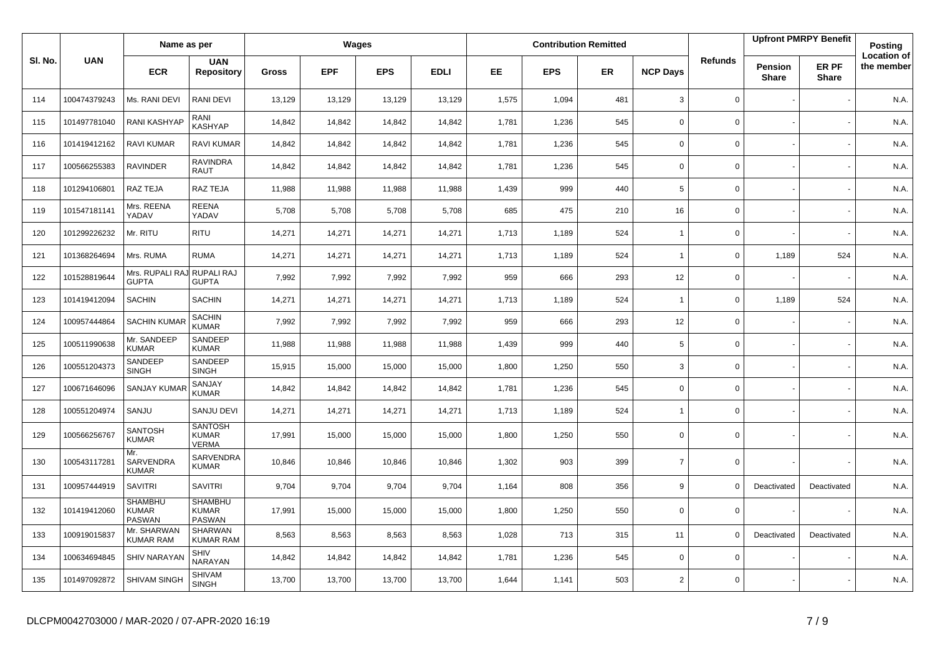|         |              | Name as per                                     |                                                |              |            | Wages      |             |           |            | <b>Contribution Remitted</b> |                 |                |                                | <b>Upfront PMRPY Benefit</b> | Posting                          |
|---------|--------------|-------------------------------------------------|------------------------------------------------|--------------|------------|------------|-------------|-----------|------------|------------------------------|-----------------|----------------|--------------------------------|------------------------------|----------------------------------|
| SI. No. | <b>UAN</b>   | <b>ECR</b>                                      | <b>UAN</b><br><b>Repository</b>                | <b>Gross</b> | <b>EPF</b> | <b>EPS</b> | <b>EDLI</b> | <b>EE</b> | <b>EPS</b> | <b>ER</b>                    | <b>NCP Days</b> | <b>Refunds</b> | <b>Pension</b><br><b>Share</b> | ER PF<br><b>Share</b>        | <b>Location of</b><br>the member |
| 114     | 100474379243 | Ms. RANI DEVI                                   | RANI DEVI                                      | 13,129       | 13,129     | 13,129     | 13,129      | 1,575     | 1,094      | 481                          | 3               | $\mathbf 0$    |                                |                              | N.A.                             |
| 115     | 101497781040 | <b>RANI KASHYAP</b>                             | RANI<br><b>KASHYAP</b>                         | 14,842       | 14,842     | 14,842     | 14,842      | 1,781     | 1,236      | 545                          | $\mathbf 0$     | 0              |                                |                              | N.A.                             |
| 116     | 101419412162 | RAVI KUMAR                                      | <b>RAVI KUMAR</b>                              | 14,842       | 14,842     | 14,842     | 14,842      | 1,781     | 1,236      | 545                          | $\mathbf 0$     | 0              |                                |                              | N.A.                             |
| 117     | 100566255383 | <b>RAVINDER</b>                                 | <b>RAVINDRA</b><br><b>RAUT</b>                 | 14,842       | 14,842     | 14,842     | 14,842      | 1,781     | 1,236      | 545                          | $\mathbf 0$     | 0              |                                |                              | N.A.                             |
| 118     | 101294106801 | RAZ TEJA                                        | RAZ TEJA                                       | 11,988       | 11,988     | 11,988     | 11,988      | 1,439     | 999        | 440                          | 5               | 0              |                                |                              | N.A.                             |
| 119     | 101547181141 | Mrs. REENA<br>YADAV                             | <b>REENA</b><br>YADAV                          | 5,708        | 5,708      | 5,708      | 5,708       | 685       | 475        | 210                          | 16              | 0              |                                |                              | N.A.                             |
| 120     | 101299226232 | Mr. RITU                                        | <b>RITU</b>                                    | 14,271       | 14,271     | 14,271     | 14,271      | 1,713     | 1,189      | 524                          | $\mathbf{1}$    | 0              |                                |                              | N.A.                             |
| 121     | 101368264694 | Mrs. RUMA                                       | <b>RUMA</b>                                    | 14,271       | 14,271     | 14,271     | 14,271      | 1,713     | 1,189      | 524                          | $\overline{1}$  | $\mathbf 0$    | 1,189                          | 524                          | N.A.                             |
| 122     | 101528819644 | Mrs. RUPALI RAJ RUPALI RAJ<br><b>GUPTA</b>      | <b>GUPTA</b>                                   | 7,992        | 7,992      | 7,992      | 7,992       | 959       | 666        | 293                          | 12              | 0              |                                |                              | N.A.                             |
| 123     | 101419412094 | <b>SACHIN</b>                                   | <b>SACHIN</b>                                  | 14,271       | 14,271     | 14,271     | 14,271      | 1,713     | 1,189      | 524                          | $\overline{1}$  | 0              | 1,189                          | 524                          | N.A.                             |
| 124     | 100957444864 | <b>SACHIN KUMAR</b>                             | SACHIN<br><b>KUMAR</b>                         | 7,992        | 7,992      | 7,992      | 7,992       | 959       | 666        | 293                          | 12              | 0              |                                |                              | N.A.                             |
| 125     | 100511990638 | Mr. SANDEEP<br><b>KUMAR</b>                     | SANDEEP<br><b>KUMAR</b>                        | 11,988       | 11,988     | 11,988     | 11,988      | 1,439     | 999        | 440                          | 5               | $\mathbf 0$    |                                |                              | N.A.                             |
| 126     | 100551204373 | SANDEEP<br><b>SINGH</b>                         | SANDEEP<br><b>SINGH</b>                        | 15,915       | 15,000     | 15,000     | 15,000      | 1,800     | 1,250      | 550                          | 3               | 0              |                                |                              | N.A.                             |
| 127     | 100671646096 | <b>SANJAY KUMA</b>                              | SANJAY<br><b>KUMAR</b>                         | 14,842       | 14,842     | 14,842     | 14,842      | 1,781     | 1,236      | 545                          | 0               | 0              |                                |                              | N.A.                             |
| 128     | 100551204974 | SANJU                                           | SANJU DEVI                                     | 14,271       | 14,271     | 14,271     | 14,271      | 1,713     | 1,189      | 524                          | $\overline{1}$  | 0              |                                |                              | N.A.                             |
| 129     | 100566256767 | <b>SANTOSH</b><br><b>KUMAR</b>                  | <b>SANTOSH</b><br><b>KUMAR</b><br><b>VERMA</b> | 17,991       | 15,000     | 15,000     | 15,000      | 1,800     | 1,250      | 550                          | $\mathbf 0$     | 0              |                                |                              | N.A.                             |
| 130     | 100543117281 | Mr.<br>SARVENDRA<br><b>KUMAR</b>                | SARVENDRA<br><b>KUMAR</b>                      | 10,846       | 10,846     | 10,846     | 10,846      | 1,302     | 903        | 399                          | $\overline{7}$  | 0              |                                |                              | N.A.                             |
| 131     | 100957444919 | <b>SAVITRI</b>                                  | <b>SAVITRI</b>                                 | 9,704        | 9,704      | 9,704      | 9,704       | 1,164     | 808        | 356                          | 9               | $\Omega$       | Deactivated                    | Deactivated                  | N.A.                             |
| 132     | 101419412060 | <b>SHAMBHU</b><br><b>KUMAR</b><br><b>PASWAN</b> | <b>SHAMBHU</b><br><b>KUMAR</b><br>PASWAN       | 17,991       | 15,000     | 15,000     | 15,000      | 1,800     | 1,250      | 550                          | $\mathbf 0$     | $\mathbf 0$    |                                |                              | N.A.                             |
| 133     | 100919015837 | Mr. SHARWAN<br><b>KUMAR RAM</b>                 | SHARWAN<br><b>KUMAR RAM</b>                    | 8,563        | 8,563      | 8,563      | 8,563       | 1,028     | 713        | 315                          | 11              | $\Omega$       | Deactivated                    | Deactivated                  | N.A.                             |
| 134     | 100634694845 | <b>SHIV NARAYAN</b>                             | <b>SHIV</b><br>NARAYAN                         | 14,842       | 14,842     | 14,842     | 14,842      | 1,781     | 1,236      | 545                          | $\mathbf 0$     | 0              |                                |                              | N.A.                             |
| 135     | 101497092872 | <b>SHIVAM SINGH</b>                             | <b>SHIVAM</b><br><b>SINGH</b>                  | 13,700       | 13,700     | 13,700     | 13,700      | 1,644     | 1,141      | 503                          | 2               | $\mathbf 0$    |                                |                              | N.A.                             |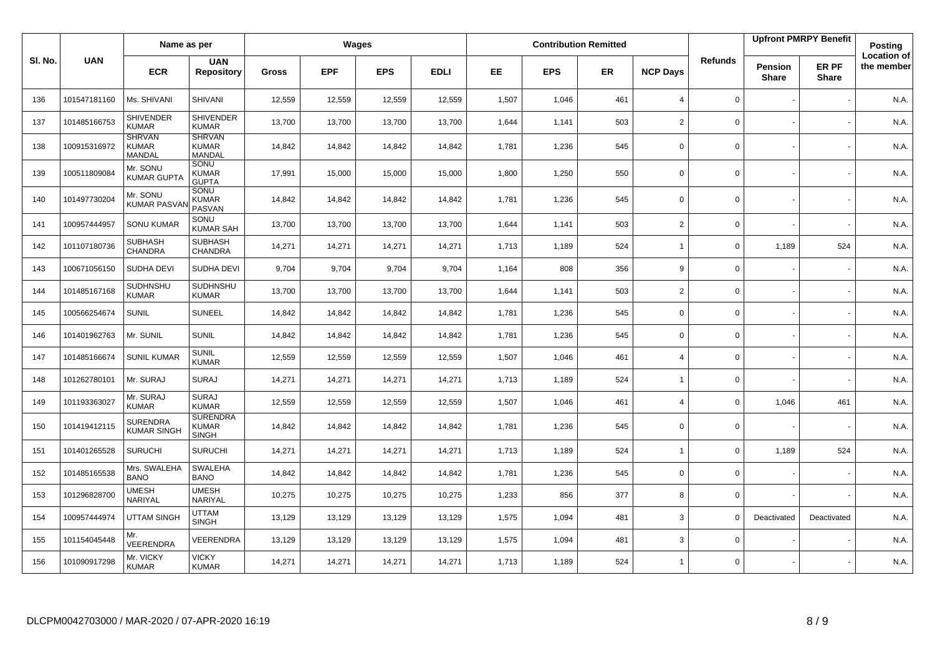|         |              | Name as per                             |                                                 |              |            | Wages      |             |       |            | <b>Contribution Remitted</b> |                 |                |                                | <b>Upfront PMRPY Benefit</b> | Posting                          |
|---------|--------------|-----------------------------------------|-------------------------------------------------|--------------|------------|------------|-------------|-------|------------|------------------------------|-----------------|----------------|--------------------------------|------------------------------|----------------------------------|
| SI. No. | <b>UAN</b>   | <b>ECR</b>                              | <b>UAN</b><br><b>Repository</b>                 | <b>Gross</b> | <b>EPF</b> | <b>EPS</b> | <b>EDLI</b> | EE    | <b>EPS</b> | <b>ER</b>                    | <b>NCP Days</b> | <b>Refunds</b> | <b>Pension</b><br><b>Share</b> | ER PF<br><b>Share</b>        | <b>Location of</b><br>the member |
| 136     | 101547181160 | Ms. SHIVANI                             | <b>SHIVANI</b>                                  | 12,559       | 12,559     | 12,559     | 12,559      | 1,507 | 1,046      | 461                          | $\overline{4}$  | $\mathbf{0}$   |                                |                              | N.A.                             |
| 137     | 101485166753 | <b>SHIVENDER</b><br><b>KUMAR</b>        | <b>SHIVENDER</b><br><b>KUMAR</b>                | 13,700       | 13,700     | 13,700     | 13,700      | 1,644 | 1,141      | 503                          | $\overline{2}$  | 0              |                                |                              | N.A.                             |
| 138     | 100915316972 | <b>SHRVAN</b><br><b>KUMAR</b><br>MANDAL | <b>SHRVAN</b><br><b>KUMAR</b><br>MANDAL         | 14,842       | 14,842     | 14,842     | 14,842      | 1,781 | 1,236      | 545                          | $\mathbf 0$     | 0              |                                |                              | N.A.                             |
| 139     | 100511809084 | Mr. SONU<br><b>KUMAR GUPTA</b>          | SONU<br><b>KUMAR</b><br><b>GUPTA</b>            | 17,991       | 15,000     | 15,000     | 15,000      | 1,800 | 1,250      | 550                          | 0               | 0              |                                |                              | N.A.                             |
| 140     | 101497730204 | Mr. SONU<br><b>KUMAR PASVA</b>          | SONU<br><b>KUMAR</b><br>PASVAN                  | 14,842       | 14,842     | 14,842     | 14,842      | 1,781 | 1,236      | 545                          | $\mathbf 0$     | 0              |                                |                              | N.A.                             |
| 141     | 100957444957 | <b>SONU KUMAR</b>                       | SONU<br><b>KUMAR SAH</b>                        | 13,700       | 13,700     | 13,700     | 13,700      | 1,644 | 1,141      | 503                          | $\overline{2}$  | 0              |                                |                              | N.A.                             |
| 142     | 101107180736 | <b>SUBHASH</b><br>CHANDRA               | <b>SUBHASH</b><br><b>CHANDRA</b>                | 14,271       | 14,271     | 14,271     | 14,271      | 1,713 | 1,189      | 524                          | $\overline{1}$  | 0              | 1,189                          | 524                          | N.A.                             |
| 143     | 100671056150 | SUDHA DEVI                              | <b>SUDHA DEVI</b>                               | 9,704        | 9,704      | 9,704      | 9,704       | 1,164 | 808        | 356                          | 9               | $\mathbf 0$    |                                |                              | N.A.                             |
| 144     | 101485167168 | <b>SUDHNSHU</b><br><b>KUMAR</b>         | <b>SUDHNSHU</b><br><b>KUMAR</b>                 | 13,700       | 13,700     | 13,700     | 13,700      | 1,644 | 1,141      | 503                          | 2               | 0              |                                |                              | N.A.                             |
| 145     | 100566254674 | <b>SUNIL</b>                            | SUNEEL                                          | 14,842       | 14,842     | 14,842     | 14,842      | 1,781 | 1,236      | 545                          | $\mathbf 0$     | 0              |                                |                              | N.A.                             |
| 146     | 101401962763 | Mr. SUNIL                               | <b>SUNIL</b>                                    | 14,842       | 14,842     | 14,842     | 14,842      | 1,781 | 1,236      | 545                          | $\mathbf 0$     | 0              |                                |                              | N.A.                             |
| 147     | 101485166674 | <b>SUNIL KUMAR</b>                      | SUNIL<br><b>KUMAR</b>                           | 12,559       | 12,559     | 12,559     | 12,559      | 1,507 | 1,046      | 461                          | $\overline{4}$  | $\mathbf 0$    |                                |                              | N.A.                             |
| 148     | 101262780101 | Mr. SURAJ                               | <b>SURAJ</b>                                    | 14,271       | 14,271     | 14,271     | 14,271      | 1,713 | 1,189      | 524                          | $\overline{1}$  | 0              |                                |                              | N.A.                             |
| 149     | 101193363027 | Mr. SURAJ<br><b>KUMAR</b>               | <b>SURAJ</b><br><b>KUMAR</b>                    | 12,559       | 12,559     | 12,559     | 12,559      | 1,507 | 1,046      | 461                          | $\overline{4}$  | 0              | 1,046                          | 461                          | N.A.                             |
| 150     | 101419412115 | <b>SURENDRA</b><br><b>KUMAR SINGH</b>   | <b>SURENDRA</b><br><b>KUMAR</b><br><b>SINGH</b> | 14,842       | 14,842     | 14,842     | 14,842      | 1,781 | 1,236      | 545                          | $\Omega$        | $\Omega$       |                                |                              | N.A.                             |
| 151     | 101401265528 | <b>SURUCHI</b>                          | <b>SURUCHI</b>                                  | 14,271       | 14,271     | 14,271     | 14,271      | 1,713 | 1,189      | 524                          | $\overline{1}$  | 0              | 1,189                          | 524                          | N.A.                             |
| 152     | 101485165538 | Mrs. SWALEHA<br><b>BANO</b>             | SWALEHA<br><b>BANO</b>                          | 14,842       | 14,842     | 14,842     | 14,842      | 1,781 | 1,236      | 545                          | $\mathbf 0$     | 0              |                                |                              | N.A.                             |
| 153     | 101296828700 | <b>UMESH</b><br>NARIYAL                 | <b>UMESH</b><br>NARIYAL                         | 10,275       | 10,275     | 10,275     | 10,275      | 1,233 | 856        | 377                          | 8               | 0              |                                |                              | N.A.                             |
| 154     | 100957444974 | <b>UTTAM SINGH</b>                      | <b>UTTAM</b><br><b>SINGH</b>                    | 13,129       | 13,129     | 13,129     | 13,129      | 1,575 | 1,094      | 481                          | 3               | $\mathbf 0$    | Deactivated                    | Deactivated                  | N.A.                             |
| 155     | 101154045448 | Mr.<br>VEERENDRA                        | VEERENDRA                                       | 13,129       | 13,129     | 13,129     | 13,129      | 1,575 | 1,094      | 481                          | 3               | 0              |                                |                              | N.A.                             |
| 156     | 101090917298 | Mr. VICKY<br><b>KUMAR</b>               | VICKY<br><b>KUMAR</b>                           | 14,271       | 14,271     | 14,271     | 14,271      | 1,713 | 1,189      | 524                          | $\overline{1}$  | 0              |                                |                              | N.A.                             |